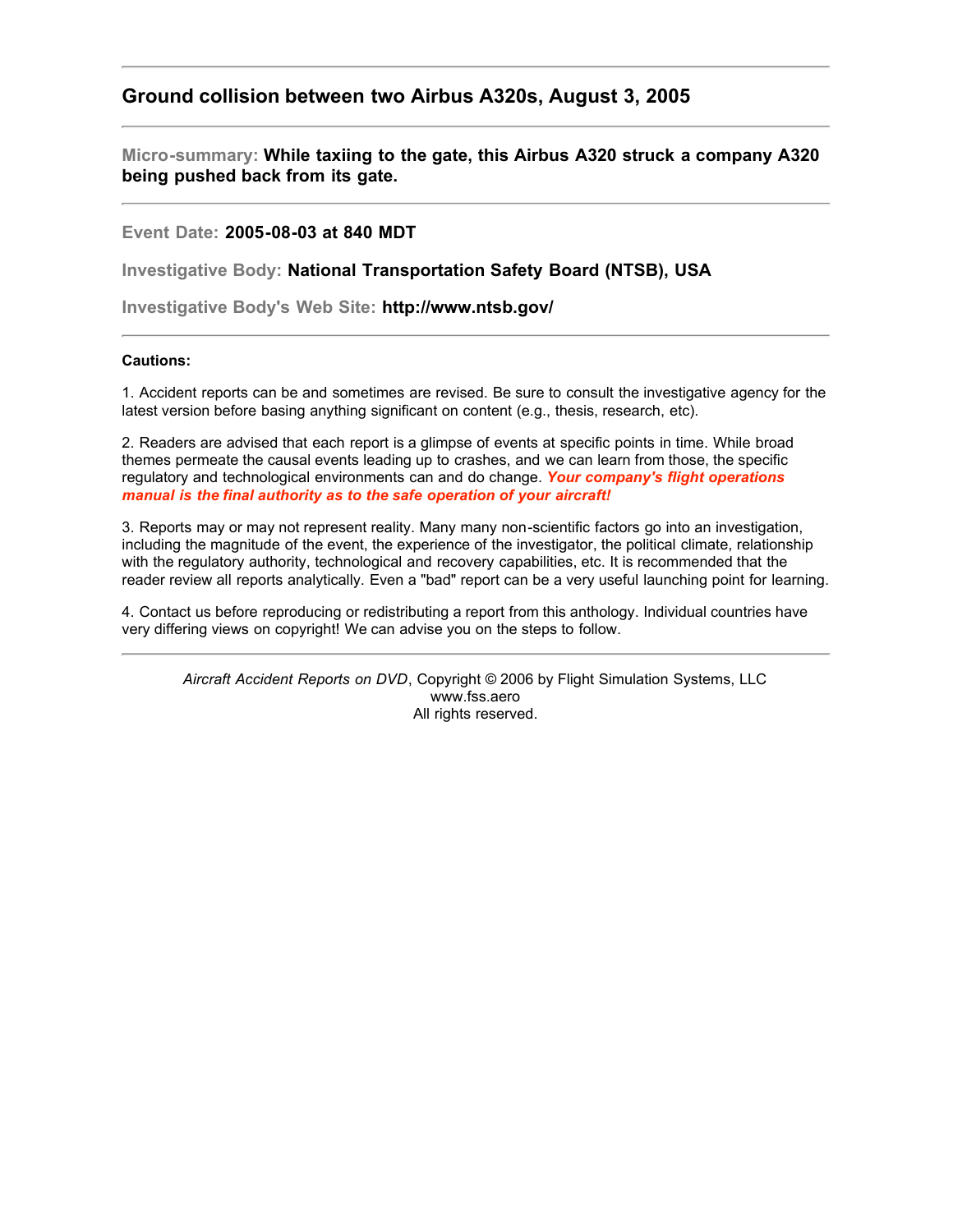## **Ground collision between two Airbus A320s, August 3, 2005**

**Micro-summary: While taxiing to the gate, this Airbus A320 struck a company A320 being pushed back from its gate.**

**Event Date: 2005-08-03 at 840 MDT**

**Investigative Body: National Transportation Safety Board (NTSB), USA**

**Investigative Body's Web Site: http://www.ntsb.gov/**

## **Cautions:**

1. Accident reports can be and sometimes are revised. Be sure to consult the investigative agency for the latest version before basing anything significant on content (e.g., thesis, research, etc).

2. Readers are advised that each report is a glimpse of events at specific points in time. While broad themes permeate the causal events leading up to crashes, and we can learn from those, the specific regulatory and technological environments can and do change. *Your company's flight operations manual is the final authority as to the safe operation of your aircraft!*

3. Reports may or may not represent reality. Many many non-scientific factors go into an investigation, including the magnitude of the event, the experience of the investigator, the political climate, relationship with the regulatory authority, technological and recovery capabilities, etc. It is recommended that the reader review all reports analytically. Even a "bad" report can be a very useful launching point for learning.

4. Contact us before reproducing or redistributing a report from this anthology. Individual countries have very differing views on copyright! We can advise you on the steps to follow.

*Aircraft Accident Reports on DVD*, Copyright © 2006 by Flight Simulation Systems, LLC www.fss.aero All rights reserved.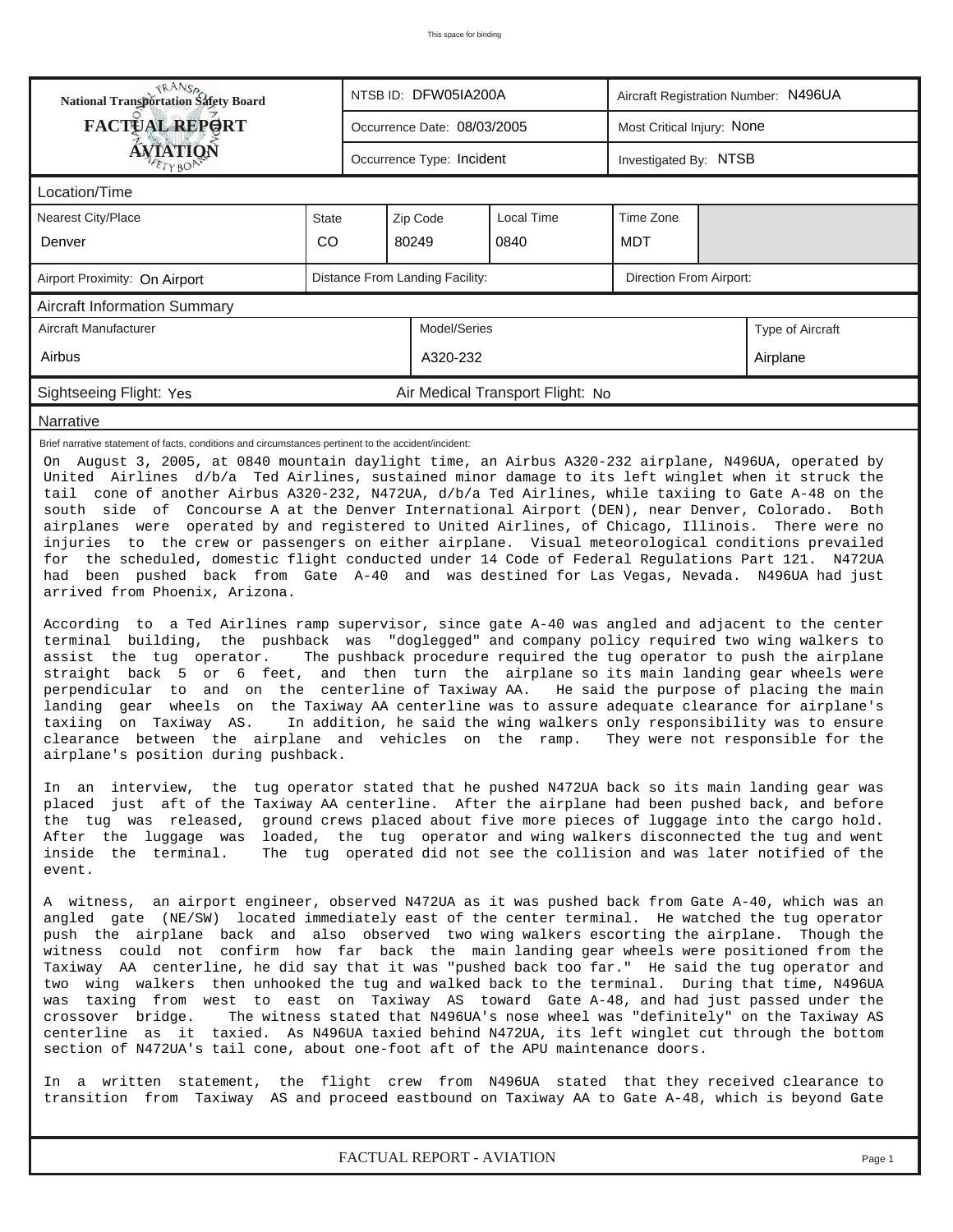| <b>TRANSA</b><br>National Transportation Safety Board                                                                                                                                                                                                                                                                                                                                                                                                                                                                                                                                                                                                                                                                                                                                                                                                                                                                                                                                                                                                                                                                                                                                                                                                                                                                                                                                                                                                                                                                                                                                                                                                                                                                                                                                                                                                                                                                                                                                                                                                                                                                                                                                                                                                                                                                                                                                                                                                                                                                                                                                                                                                                                                                                                                                                                                                                                                                                                                                                                                                                                          |                                                            |  | NTSB ID: DFW05IA200A        |                                  | Aircraft Registration Number: N496UA |                            |                  |  |  |  |
|------------------------------------------------------------------------------------------------------------------------------------------------------------------------------------------------------------------------------------------------------------------------------------------------------------------------------------------------------------------------------------------------------------------------------------------------------------------------------------------------------------------------------------------------------------------------------------------------------------------------------------------------------------------------------------------------------------------------------------------------------------------------------------------------------------------------------------------------------------------------------------------------------------------------------------------------------------------------------------------------------------------------------------------------------------------------------------------------------------------------------------------------------------------------------------------------------------------------------------------------------------------------------------------------------------------------------------------------------------------------------------------------------------------------------------------------------------------------------------------------------------------------------------------------------------------------------------------------------------------------------------------------------------------------------------------------------------------------------------------------------------------------------------------------------------------------------------------------------------------------------------------------------------------------------------------------------------------------------------------------------------------------------------------------------------------------------------------------------------------------------------------------------------------------------------------------------------------------------------------------------------------------------------------------------------------------------------------------------------------------------------------------------------------------------------------------------------------------------------------------------------------------------------------------------------------------------------------------------------------------------------------------------------------------------------------------------------------------------------------------------------------------------------------------------------------------------------------------------------------------------------------------------------------------------------------------------------------------------------------------------------------------------------------------------------------------------------------------|------------------------------------------------------------|--|-----------------------------|----------------------------------|--------------------------------------|----------------------------|------------------|--|--|--|
| <b>FACTUAL REPORT</b>                                                                                                                                                                                                                                                                                                                                                                                                                                                                                                                                                                                                                                                                                                                                                                                                                                                                                                                                                                                                                                                                                                                                                                                                                                                                                                                                                                                                                                                                                                                                                                                                                                                                                                                                                                                                                                                                                                                                                                                                                                                                                                                                                                                                                                                                                                                                                                                                                                                                                                                                                                                                                                                                                                                                                                                                                                                                                                                                                                                                                                                                          |                                                            |  | Occurrence Date: 08/03/2005 |                                  |                                      | Most Critical Injury: None |                  |  |  |  |
| ÁVIATION                                                                                                                                                                                                                                                                                                                                                                                                                                                                                                                                                                                                                                                                                                                                                                                                                                                                                                                                                                                                                                                                                                                                                                                                                                                                                                                                                                                                                                                                                                                                                                                                                                                                                                                                                                                                                                                                                                                                                                                                                                                                                                                                                                                                                                                                                                                                                                                                                                                                                                                                                                                                                                                                                                                                                                                                                                                                                                                                                                                                                                                                                       |                                                            |  | Occurrence Type: Incident   |                                  | Investigated By: NTSB                |                            |                  |  |  |  |
| Location/Time                                                                                                                                                                                                                                                                                                                                                                                                                                                                                                                                                                                                                                                                                                                                                                                                                                                                                                                                                                                                                                                                                                                                                                                                                                                                                                                                                                                                                                                                                                                                                                                                                                                                                                                                                                                                                                                                                                                                                                                                                                                                                                                                                                                                                                                                                                                                                                                                                                                                                                                                                                                                                                                                                                                                                                                                                                                                                                                                                                                                                                                                                  |                                                            |  |                             |                                  |                                      |                            |                  |  |  |  |
| Time Zone<br><b>Nearest City/Place</b><br>Local Time<br><b>State</b><br>Zip Code                                                                                                                                                                                                                                                                                                                                                                                                                                                                                                                                                                                                                                                                                                                                                                                                                                                                                                                                                                                                                                                                                                                                                                                                                                                                                                                                                                                                                                                                                                                                                                                                                                                                                                                                                                                                                                                                                                                                                                                                                                                                                                                                                                                                                                                                                                                                                                                                                                                                                                                                                                                                                                                                                                                                                                                                                                                                                                                                                                                                               |                                                            |  |                             |                                  |                                      |                            |                  |  |  |  |
| Denver                                                                                                                                                                                                                                                                                                                                                                                                                                                                                                                                                                                                                                                                                                                                                                                                                                                                                                                                                                                                                                                                                                                                                                                                                                                                                                                                                                                                                                                                                                                                                                                                                                                                                                                                                                                                                                                                                                                                                                                                                                                                                                                                                                                                                                                                                                                                                                                                                                                                                                                                                                                                                                                                                                                                                                                                                                                                                                                                                                                                                                                                                         | CO                                                         |  | 80249                       |                                  |                                      |                            |                  |  |  |  |
| Airport Proximity: On Airport                                                                                                                                                                                                                                                                                                                                                                                                                                                                                                                                                                                                                                                                                                                                                                                                                                                                                                                                                                                                                                                                                                                                                                                                                                                                                                                                                                                                                                                                                                                                                                                                                                                                                                                                                                                                                                                                                                                                                                                                                                                                                                                                                                                                                                                                                                                                                                                                                                                                                                                                                                                                                                                                                                                                                                                                                                                                                                                                                                                                                                                                  | Distance From Landing Facility:<br>Direction From Airport: |  |                             |                                  |                                      |                            |                  |  |  |  |
| <b>Aircraft Information Summary</b>                                                                                                                                                                                                                                                                                                                                                                                                                                                                                                                                                                                                                                                                                                                                                                                                                                                                                                                                                                                                                                                                                                                                                                                                                                                                                                                                                                                                                                                                                                                                                                                                                                                                                                                                                                                                                                                                                                                                                                                                                                                                                                                                                                                                                                                                                                                                                                                                                                                                                                                                                                                                                                                                                                                                                                                                                                                                                                                                                                                                                                                            |                                                            |  |                             |                                  |                                      |                            |                  |  |  |  |
| Aircraft Manufacturer                                                                                                                                                                                                                                                                                                                                                                                                                                                                                                                                                                                                                                                                                                                                                                                                                                                                                                                                                                                                                                                                                                                                                                                                                                                                                                                                                                                                                                                                                                                                                                                                                                                                                                                                                                                                                                                                                                                                                                                                                                                                                                                                                                                                                                                                                                                                                                                                                                                                                                                                                                                                                                                                                                                                                                                                                                                                                                                                                                                                                                                                          |                                                            |  | Model/Series                |                                  |                                      |                            | Type of Aircraft |  |  |  |
| Airbus                                                                                                                                                                                                                                                                                                                                                                                                                                                                                                                                                                                                                                                                                                                                                                                                                                                                                                                                                                                                                                                                                                                                                                                                                                                                                                                                                                                                                                                                                                                                                                                                                                                                                                                                                                                                                                                                                                                                                                                                                                                                                                                                                                                                                                                                                                                                                                                                                                                                                                                                                                                                                                                                                                                                                                                                                                                                                                                                                                                                                                                                                         |                                                            |  | A320-232                    |                                  |                                      |                            | Airplane         |  |  |  |
| Sightseeing Flight: Yes                                                                                                                                                                                                                                                                                                                                                                                                                                                                                                                                                                                                                                                                                                                                                                                                                                                                                                                                                                                                                                                                                                                                                                                                                                                                                                                                                                                                                                                                                                                                                                                                                                                                                                                                                                                                                                                                                                                                                                                                                                                                                                                                                                                                                                                                                                                                                                                                                                                                                                                                                                                                                                                                                                                                                                                                                                                                                                                                                                                                                                                                        |                                                            |  |                             | Air Medical Transport Flight: No |                                      |                            |                  |  |  |  |
| Narrative                                                                                                                                                                                                                                                                                                                                                                                                                                                                                                                                                                                                                                                                                                                                                                                                                                                                                                                                                                                                                                                                                                                                                                                                                                                                                                                                                                                                                                                                                                                                                                                                                                                                                                                                                                                                                                                                                                                                                                                                                                                                                                                                                                                                                                                                                                                                                                                                                                                                                                                                                                                                                                                                                                                                                                                                                                                                                                                                                                                                                                                                                      |                                                            |  |                             |                                  |                                      |                            |                  |  |  |  |
| Brief narrative statement of facts, conditions and circumstances pertinent to the accident/incident:<br>On August 3, 2005, at 0840 mountain daylight time, an Airbus A320-232 airplane, N496UA, operated by<br>United Airlines d/b/a Ted Airlines, sustained minor damage to its left winglet when it struck the<br>tail cone of another Airbus A320-232, N472UA, d/b/a Ted Airlines, while taxiing to Gate A-48 on the<br>south side of Concourse A at the Denver International Airport (DEN), near Denver, Colorado. Both<br>airplanes were operated by and registered to United Airlines, of Chicago, Illinois. There were no<br>injuries to the crew or passengers on either airplane. Visual meteorological conditions prevailed<br>for the scheduled, domestic flight conducted under 14 Code of Federal Regulations Part 121. N472UA<br>had been pushed back from Gate A-40 and was destined for Las Vegas, Nevada. N496UA had just<br>arrived from Phoenix, Arizona.<br>According to a Ted Airlines ramp supervisor, since gate A-40 was angled and adjacent to the center<br>the pushback was "doglegged" and company policy required two wing walkers to<br>terminal building,<br>The pushback procedure required the tug operator to push the airplane<br>assist the tug operator.<br>straight back 5 or 6 feet, and then turn the airplane so its main landing gear wheels were<br>perpendicular to and on the centerline of Taxiway AA. He said the purpose of placing the main<br>landing gear wheels on the Taxiway AA centerline was to assure adequate clearance for airplane's<br>In addition, he said the wing walkers only responsibility was to ensure<br>taxiing on Taxiway AS.<br>clearance between the airplane and vehicles on the ramp. They were not responsible for the<br>airplane's position during pushback.<br>In an interview, the tug operator stated that he pushed N472UA back so its main landing gear was<br>placed just aft of the Taxiway AA centerline. After the airplane had been pushed back, and before<br>the tug was released,<br>ground crews placed about five more pieces of luggage into the cargo hold.<br>After the luqqaqe was<br>loaded, the tug operator and wing walkers disconnected the tug and went<br>inside the terminal.<br>The tug operated did not see the collision and was later notified of the<br>event.<br>A witness, an airport engineer, observed N472UA as it was pushed back from Gate A-40, which was an<br>angled gate (NE/SW) located immediately east of the center terminal. He watched the tug operator<br>push the airplane back and also observed two wing walkers escorting the airplane. Though the<br>witness could not confirm how far back the main landing gear wheels were positioned from the<br>Taxiway AA centerline, he did say that it was "pushed back too far." He said the tug operator and<br>two wing walkers then unhooked the tug and walked back to the terminal. During that time, N496UA<br>was taxing from west to east on Taxiway AS toward Gate A-48, and had just passed under the |                                                            |  |                             |                                  |                                      |                            |                  |  |  |  |
| In a written statement, the flight crew from N496UA stated that they received clearance to<br>transition from Taxiway AS and proceed eastbound on Taxiway AA to Gate A-48, which is beyond Gate                                                                                                                                                                                                                                                                                                                                                                                                                                                                                                                                                                                                                                                                                                                                                                                                                                                                                                                                                                                                                                                                                                                                                                                                                                                                                                                                                                                                                                                                                                                                                                                                                                                                                                                                                                                                                                                                                                                                                                                                                                                                                                                                                                                                                                                                                                                                                                                                                                                                                                                                                                                                                                                                                                                                                                                                                                                                                                |                                                            |  |                             |                                  |                                      |                            |                  |  |  |  |
| FACTUAL REPORT - AVIATION<br>Page 1                                                                                                                                                                                                                                                                                                                                                                                                                                                                                                                                                                                                                                                                                                                                                                                                                                                                                                                                                                                                                                                                                                                                                                                                                                                                                                                                                                                                                                                                                                                                                                                                                                                                                                                                                                                                                                                                                                                                                                                                                                                                                                                                                                                                                                                                                                                                                                                                                                                                                                                                                                                                                                                                                                                                                                                                                                                                                                                                                                                                                                                            |                                                            |  |                             |                                  |                                      |                            |                  |  |  |  |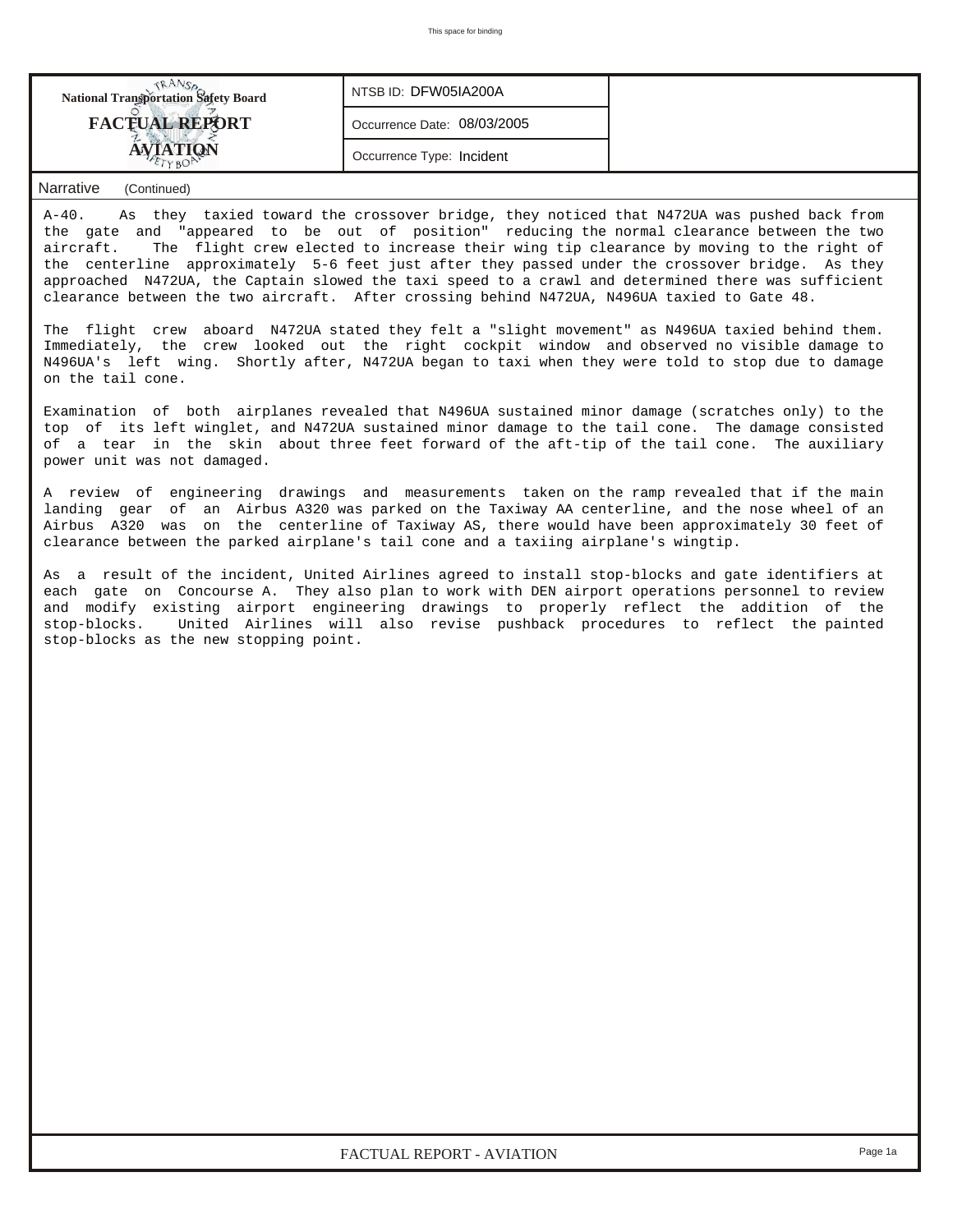| <b>National Transportation Safety Board</b> | NTSB ID: DFW05IA200A        |  |
|---------------------------------------------|-----------------------------|--|
| <b>FACTUAL REPORT</b>                       | Occurrence Date: 08/03/2005 |  |
|                                             | Occurrence Type: Incident   |  |

## *Narrative (Continued)*

A-40. As they taxied toward the crossover bridge, they noticed that N472UA was pushed back from the gate and "appeared to be out of position" reducing the normal clearance between the two aircraft. The flight crew elected to increase their wing tip clearance by moving to the right of the centerline approximately 5-6 feet just after they passed under the crossover bridge. As they approached N472UA, the Captain slowed the taxi speed to a crawl and determined there was sufficient clearance between the two aircraft. After crossing behind N472UA, N496UA taxied to Gate 48.

The flight crew aboard N472UA stated they felt a "slight movement" as N496UA taxied behind them. Immediately, the crew looked out the right cockpit window and observed no visible damage to N496UA's left wing. Shortly after, N472UA began to taxi when they were told to stop due to damage on the tail cone.

Examination of both airplanes revealed that N496UA sustained minor damage (scratches only) to the top of its left winglet, and N472UA sustained minor damage to the tail cone. The damage consisted of a tear in the skin about three feet forward of the aft-tip of the tail cone. The auxiliary power unit was not damaged.

A review of engineering drawings and measurements taken on the ramp revealed that if the main landing gear of an Airbus A320 was parked on the Taxiway AA centerline, and the nose wheel of an Airbus A320 was on the centerline of Taxiway AS, there would have been approximately 30 feet of clearance between the parked airplane's tail cone and a taxiing airplane's wingtip.

As a result of the incident, United Airlines agreed to install stop-blocks and gate identifiers at each gate on Concourse A. They also plan to work with DEN airport operations personnel to review and modify existing airport engineering drawings to properly reflect the addition of the stop-blocks. United Airlines will also revise pushback procedures to reflect the painted stop-blocks as the new stopping point.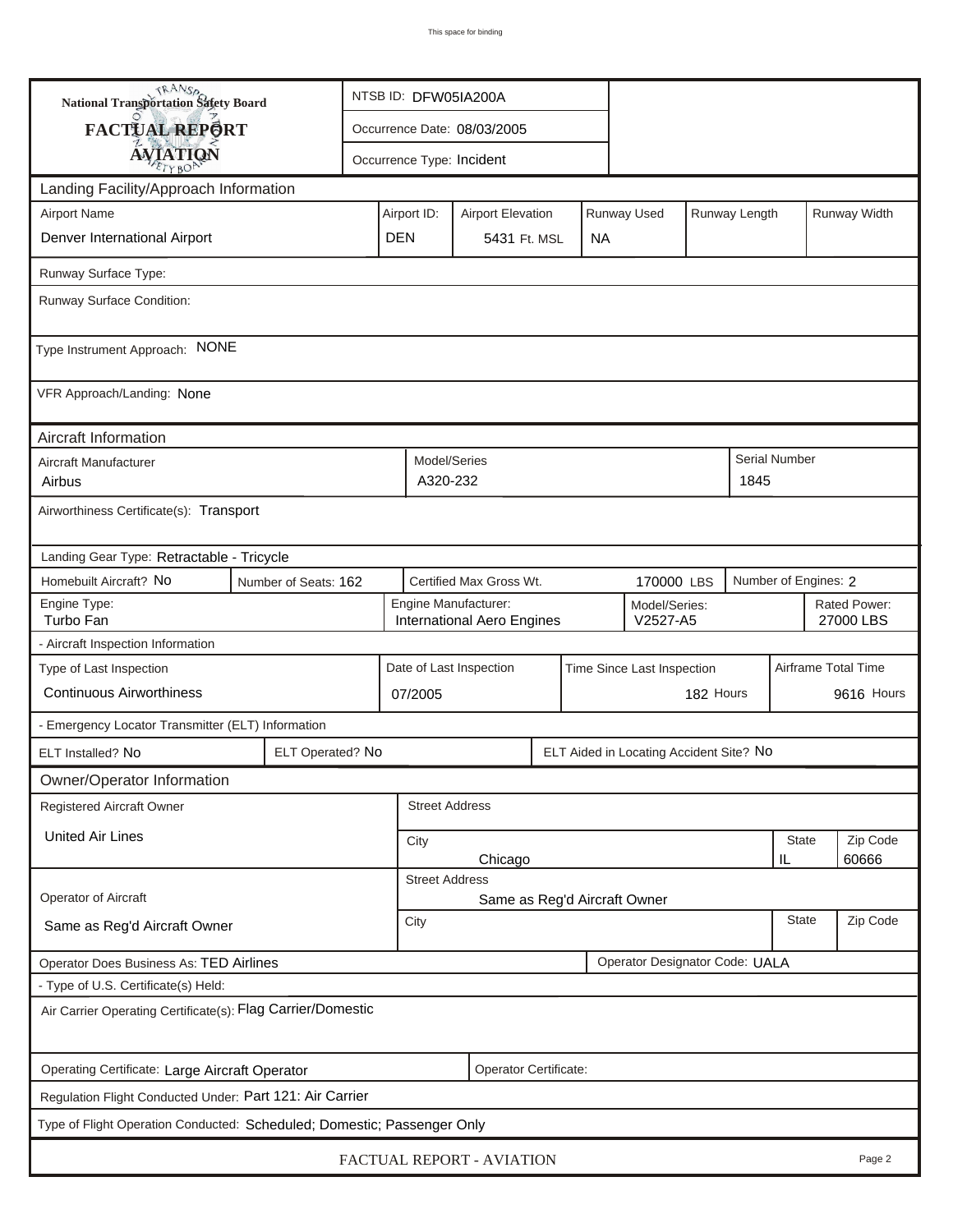| <b>National Transportation Safety Board</b>                               |                       | NTSB ID: DFW05IA200A                                                    |                                                       |                                                    |                         |                           |  |                                         |                           |              |                      |                           |  |  |  |
|---------------------------------------------------------------------------|-----------------------|-------------------------------------------------------------------------|-------------------------------------------------------|----------------------------------------------------|-------------------------|---------------------------|--|-----------------------------------------|---------------------------|--------------|----------------------|---------------------------|--|--|--|
| FACTUAL REPORT                                                            |                       |                                                                         | Occurrence Date: 08/03/2005                           |                                                    |                         |                           |  |                                         |                           |              |                      |                           |  |  |  |
|                                                                           | <b>AVIATION</b>       |                                                                         |                                                       |                                                    |                         | Occurrence Type: Incident |  |                                         |                           |              |                      |                           |  |  |  |
| Landing Facility/Approach Information                                     |                       |                                                                         |                                                       |                                                    |                         |                           |  |                                         |                           |              |                      |                           |  |  |  |
| <b>Airport Name</b>                                                       |                       | Runway Used<br>Airport ID:<br>Runway Length<br><b>Airport Elevation</b> |                                                       |                                                    |                         |                           |  |                                         |                           | Runway Width |                      |                           |  |  |  |
| Denver International Airport                                              | <b>DEN</b>            |                                                                         | 5431 Ft. MSL                                          |                                                    | <b>NA</b>               |                           |  |                                         |                           |              |                      |                           |  |  |  |
| Runway Surface Type:                                                      |                       |                                                                         |                                                       |                                                    |                         |                           |  |                                         |                           |              |                      |                           |  |  |  |
| Runway Surface Condition:                                                 |                       |                                                                         |                                                       |                                                    |                         |                           |  |                                         |                           |              |                      |                           |  |  |  |
| Type Instrument Approach: NONE                                            |                       |                                                                         |                                                       |                                                    |                         |                           |  |                                         |                           |              |                      |                           |  |  |  |
| VFR Approach/Landing: None                                                |                       |                                                                         |                                                       |                                                    |                         |                           |  |                                         |                           |              |                      |                           |  |  |  |
| Aircraft Information                                                      |                       |                                                                         |                                                       |                                                    |                         |                           |  |                                         |                           |              |                      |                           |  |  |  |
| Aircraft Manufacturer<br>Airbus                                           |                       |                                                                         |                                                       | Model/Series<br>A320-232                           |                         |                           |  |                                         |                           | 1845         | <b>Serial Number</b> |                           |  |  |  |
| Airworthiness Certificate(s): Transport                                   |                       |                                                                         |                                                       |                                                    |                         |                           |  |                                         |                           |              |                      |                           |  |  |  |
| Landing Gear Type: Retractable - Tricycle                                 |                       |                                                                         |                                                       |                                                    |                         |                           |  |                                         |                           |              |                      |                           |  |  |  |
| Homebuilt Aircraft? No                                                    | Number of Seats: 162  |                                                                         |                                                       |                                                    | Certified Max Gross Wt. | 170000 LBS                |  |                                         | Number of Engines: 2      |              |                      |                           |  |  |  |
| Engine Type:<br>Turbo Fan                                                 |                       |                                                                         |                                                       | Engine Manufacturer:<br>International Aero Engines |                         |                           |  |                                         | Model/Series:<br>V2527-A5 |              |                      | Rated Power:<br>27000 LBS |  |  |  |
| - Aircraft Inspection Information                                         |                       |                                                                         |                                                       |                                                    |                         |                           |  |                                         |                           |              |                      |                           |  |  |  |
| Type of Last Inspection                                                   |                       |                                                                         | Date of Last Inspection<br>Time Since Last Inspection |                                                    |                         |                           |  |                                         |                           |              |                      | Airframe Total Time       |  |  |  |
| <b>Continuous Airworthiness</b>                                           |                       |                                                                         | 07/2005                                               |                                                    |                         |                           |  | 182 Hours                               |                           |              | 9616 Hours           |                           |  |  |  |
| - Emergency Locator Transmitter (ELT) Information                         |                       |                                                                         |                                                       |                                                    |                         |                           |  |                                         |                           |              |                      |                           |  |  |  |
| ELT Installed? No                                                         | ELT Operated? No      |                                                                         |                                                       |                                                    |                         |                           |  | ELT Aided in Locating Accident Site? No |                           |              |                      |                           |  |  |  |
| Owner/Operator Information                                                |                       |                                                                         |                                                       |                                                    |                         |                           |  |                                         |                           |              |                      |                           |  |  |  |
| Registered Aircraft Owner                                                 |                       |                                                                         |                                                       | <b>Street Address</b>                              |                         |                           |  |                                         |                           |              |                      |                           |  |  |  |
| <b>United Air Lines</b>                                                   |                       |                                                                         | <b>State</b><br>City<br>Chicago<br>IL                 |                                                    |                         |                           |  |                                         |                           |              | Zip Code<br>60666    |                           |  |  |  |
|                                                                           | <b>Street Address</b> |                                                                         |                                                       |                                                    |                         |                           |  |                                         |                           |              |                      |                           |  |  |  |
| Operator of Aircraft                                                      |                       |                                                                         |                                                       | Same as Reg'd Aircraft Owner                       |                         |                           |  |                                         |                           |              |                      |                           |  |  |  |
| Same as Reg'd Aircraft Owner                                              |                       |                                                                         |                                                       | <b>State</b><br>City                               |                         |                           |  |                                         |                           |              | Zip Code             |                           |  |  |  |
| Operator Designator Code: UALA<br>Operator Does Business As: TED Airlines |                       |                                                                         |                                                       |                                                    |                         |                           |  |                                         |                           |              |                      |                           |  |  |  |
| - Type of U.S. Certificate(s) Held:                                       |                       |                                                                         |                                                       |                                                    |                         |                           |  |                                         |                           |              |                      |                           |  |  |  |
| Air Carrier Operating Certificate(s): Flag Carrier/Domestic               |                       |                                                                         |                                                       |                                                    |                         |                           |  |                                         |                           |              |                      |                           |  |  |  |
| Operating Certificate: Large Aircraft Operator                            |                       |                                                                         |                                                       |                                                    | Operator Certificate:   |                           |  |                                         |                           |              |                      |                           |  |  |  |
| Regulation Flight Conducted Under: Part 121: Air Carrier                  |                       |                                                                         |                                                       |                                                    |                         |                           |  |                                         |                           |              |                      |                           |  |  |  |
| Type of Flight Operation Conducted: Scheduled; Domestic; Passenger Only   |                       |                                                                         |                                                       |                                                    |                         |                           |  |                                         |                           |              |                      |                           |  |  |  |
| FACTUAL REPORT - AVIATION<br>Page 2                                       |                       |                                                                         |                                                       |                                                    |                         |                           |  |                                         |                           |              |                      |                           |  |  |  |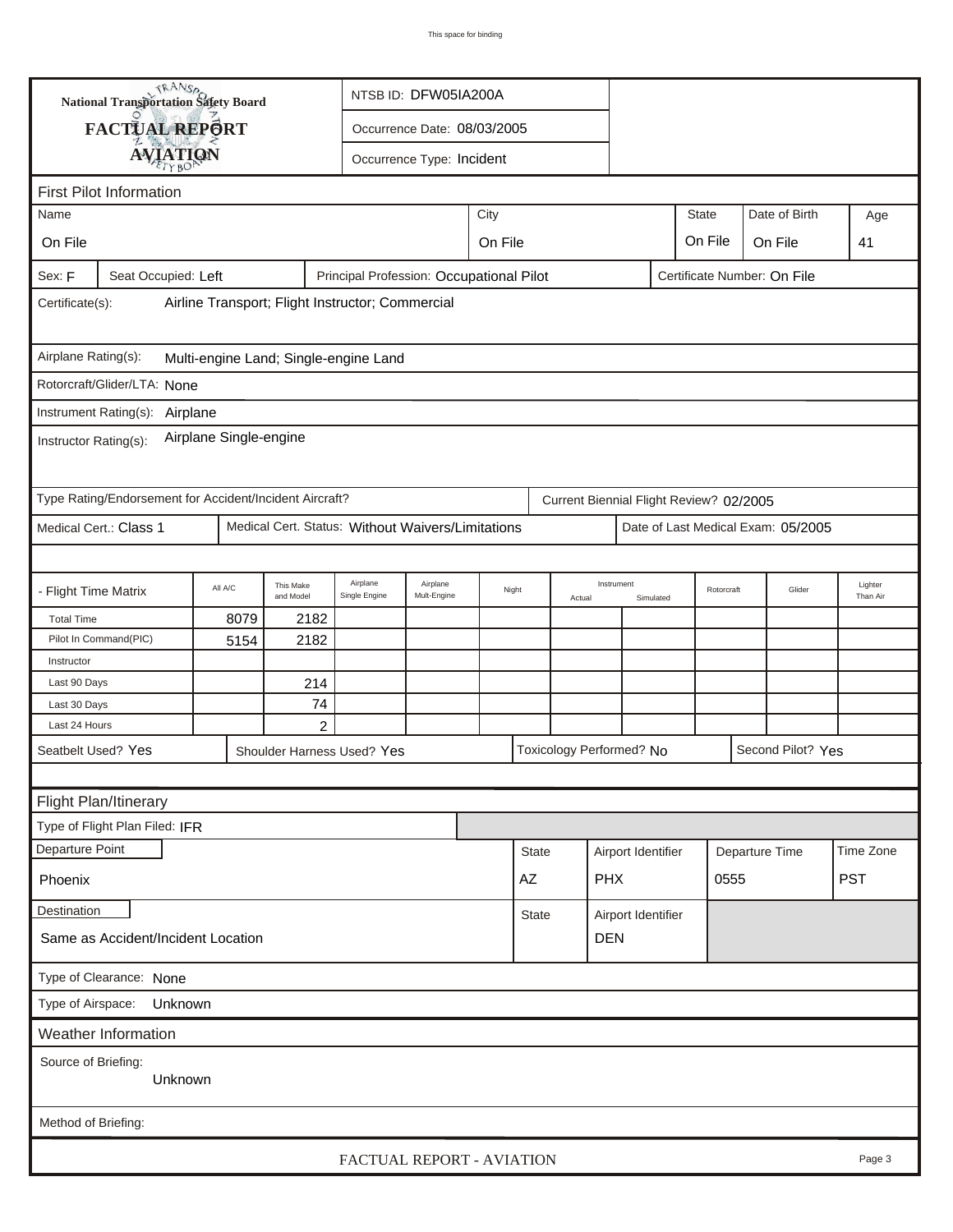| <b>National Transportation Safety Board</b><br>NTSB ID: DFW05IA200A |                                                         |         |                        |                                                   |                           |         |              |                                         |                    |                    |                             |      |                                    |                     |
|---------------------------------------------------------------------|---------------------------------------------------------|---------|------------------------|---------------------------------------------------|---------------------------|---------|--------------|-----------------------------------------|--------------------|--------------------|-----------------------------|------|------------------------------------|---------------------|
| FACTUAL REPORT<br>Occurrence Date: 08/03/2005                       |                                                         |         |                        |                                                   |                           |         |              |                                         |                    |                    |                             |      |                                    |                     |
|                                                                     | <b>AVIATION</b><br>Occurrence Type: Incident            |         |                        |                                                   |                           |         |              |                                         |                    |                    |                             |      |                                    |                     |
|                                                                     |                                                         |         |                        |                                                   |                           |         |              |                                         |                    |                    |                             |      |                                    |                     |
| <b>First Pilot Information</b>                                      |                                                         |         |                        |                                                   |                           |         |              |                                         |                    |                    |                             |      |                                    |                     |
| Name                                                                |                                                         |         |                        |                                                   |                           | City    |              |                                         |                    |                    | <b>State</b>                |      | Date of Birth                      | Age                 |
| On File                                                             |                                                         |         |                        |                                                   |                           | On File |              |                                         |                    |                    | On File                     |      | On File                            | 41                  |
| Sex: F                                                              | Seat Occupied: Left                                     |         |                        | Principal Profession: Occupational Pilot          |                           |         |              |                                         |                    |                    | Certificate Number: On File |      |                                    |                     |
| Airline Transport; Flight Instructor; Commercial<br>Certificate(s): |                                                         |         |                        |                                                   |                           |         |              |                                         |                    |                    |                             |      |                                    |                     |
| Airplane Rating(s):<br>Multi-engine Land; Single-engine Land        |                                                         |         |                        |                                                   |                           |         |              |                                         |                    |                    |                             |      |                                    |                     |
|                                                                     | Rotorcraft/Glider/LTA: None                             |         |                        |                                                   |                           |         |              |                                         |                    |                    |                             |      |                                    |                     |
|                                                                     | Instrument Rating(s):                                   |         |                        |                                                   |                           |         |              |                                         |                    |                    |                             |      |                                    |                     |
| Airplane<br>Airplane Single-engine<br>Instructor Rating(s):         |                                                         |         |                        |                                                   |                           |         |              |                                         |                    |                    |                             |      |                                    |                     |
|                                                                     | Type Rating/Endorsement for Accident/Incident Aircraft? |         |                        |                                                   |                           |         |              | Current Biennial Flight Review? 02/2005 |                    |                    |                             |      |                                    |                     |
|                                                                     | Medical Cert.: Class 1                                  |         |                        | Medical Cert. Status: Without Waivers/Limitations |                           |         |              |                                         |                    |                    |                             |      | Date of Last Medical Exam: 05/2005 |                     |
|                                                                     |                                                         |         |                        |                                                   |                           |         |              |                                         |                    |                    |                             |      |                                    |                     |
| - Flight Time Matrix                                                |                                                         | All A/C | This Make<br>and Model | Airplane<br>Single Engine                         | Airplane<br>Mult-Engine   | Night   |              | Instrument<br>Actual                    |                    | Simulated          | Rotorcraft                  |      | Glider                             | Lighter<br>Than Air |
| <b>Total Time</b>                                                   |                                                         | 8079    | 2182                   |                                                   |                           |         |              |                                         |                    |                    |                             |      |                                    |                     |
|                                                                     | Pilot In Command(PIC)                                   | 5154    | 2182                   |                                                   |                           |         |              |                                         |                    |                    |                             |      |                                    |                     |
| Instructor<br>Last 90 Days                                          |                                                         |         |                        |                                                   |                           |         |              |                                         |                    |                    |                             |      |                                    |                     |
| Last 30 Days                                                        |                                                         |         | 214<br>74              |                                                   |                           |         |              |                                         |                    |                    |                             |      |                                    |                     |
| Last 24 Hours                                                       |                                                         |         | $\overline{c}$         |                                                   |                           |         |              |                                         |                    |                    |                             |      |                                    |                     |
| Seatbelt Used? Yes                                                  |                                                         |         |                        | Shoulder Harness Used? Yes                        |                           |         |              | Toxicology Performed? No                |                    |                    |                             |      | Second Pilot? Yes                  |                     |
|                                                                     |                                                         |         |                        |                                                   |                           |         |              |                                         |                    |                    |                             |      |                                    |                     |
|                                                                     | Flight Plan/Itinerary                                   |         |                        |                                                   |                           |         |              |                                         |                    |                    |                             |      |                                    |                     |
|                                                                     | Type of Flight Plan Filed: IFR                          |         |                        |                                                   |                           |         |              |                                         |                    |                    |                             |      |                                    |                     |
| Departure Point                                                     |                                                         |         |                        |                                                   |                           |         | <b>State</b> |                                         | Airport Identifier |                    |                             |      | Departure Time                     | Time Zone           |
| Phoenix                                                             |                                                         |         |                        |                                                   |                           |         | AZ           |                                         | <b>PHX</b>         |                    |                             | 0555 |                                    | <b>PST</b>          |
| <b>Destination</b>                                                  |                                                         |         |                        |                                                   |                           |         | State        |                                         |                    | Airport Identifier |                             |      |                                    |                     |
| Same as Accident/Incident Location                                  |                                                         |         |                        |                                                   |                           |         | <b>DEN</b>   |                                         |                    |                    |                             |      |                                    |                     |
|                                                                     | Type of Clearance: None                                 |         |                        |                                                   |                           |         |              |                                         |                    |                    |                             |      |                                    |                     |
| Type of Airspace:                                                   | Unknown                                                 |         |                        |                                                   |                           |         |              |                                         |                    |                    |                             |      |                                    |                     |
|                                                                     | Weather Information                                     |         |                        |                                                   |                           |         |              |                                         |                    |                    |                             |      |                                    |                     |
| Source of Briefing:                                                 |                                                         |         |                        |                                                   |                           |         |              |                                         |                    |                    |                             |      |                                    |                     |
|                                                                     | Unknown                                                 |         |                        |                                                   |                           |         |              |                                         |                    |                    |                             |      |                                    |                     |
| Method of Briefing:                                                 |                                                         |         |                        |                                                   |                           |         |              |                                         |                    |                    |                             |      |                                    |                     |
|                                                                     |                                                         |         |                        |                                                   | FACTUAL REPORT - AVIATION |         |              |                                         |                    |                    |                             |      |                                    | Page 3              |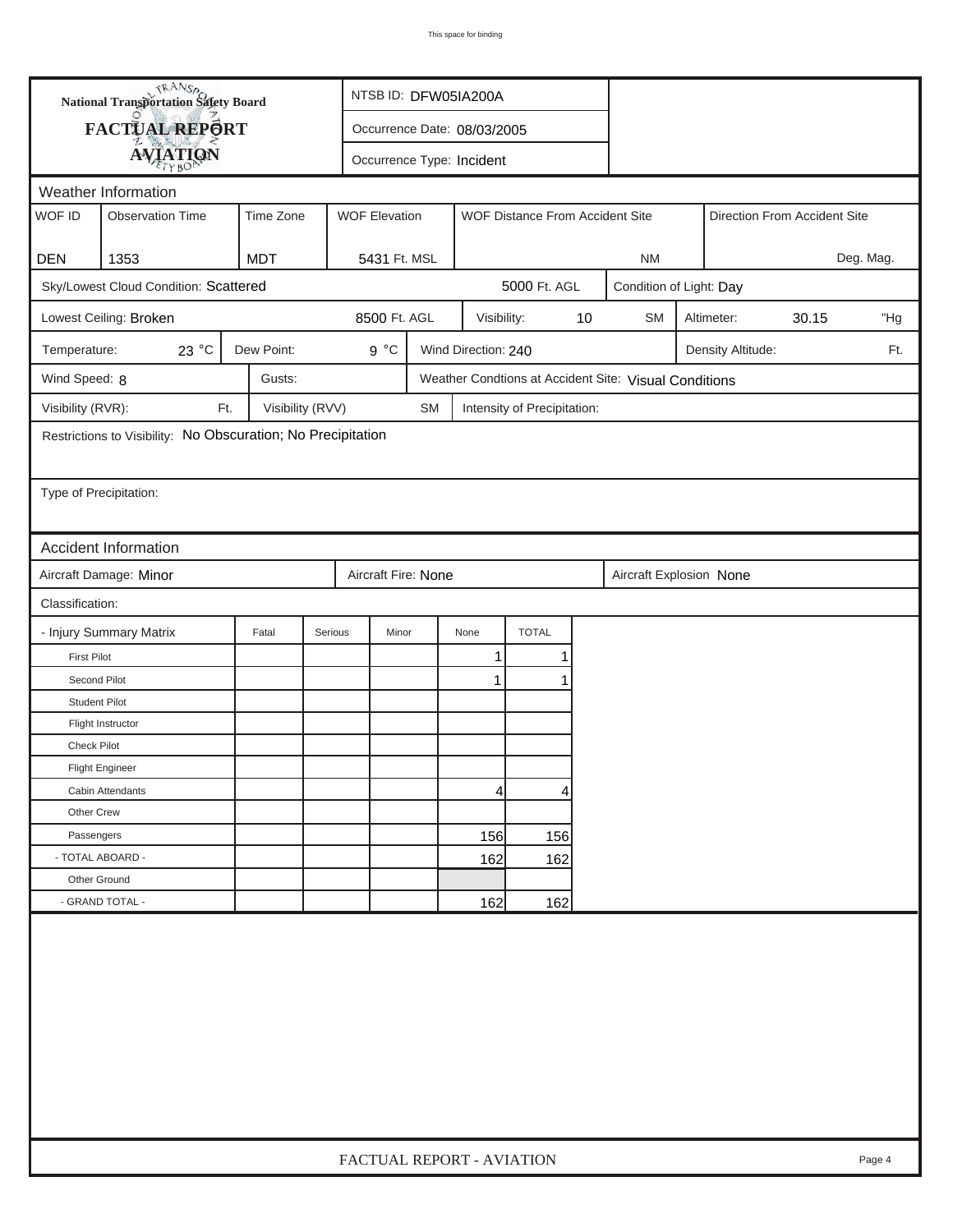| <b>National Transportation Safety Board</b> |                                                              | NTSB ID: DFW05IA200A |                             |           |                           |                                 |    |                                                       |  |                   |       |        |
|---------------------------------------------|--------------------------------------------------------------|----------------------|-----------------------------|-----------|---------------------------|---------------------------------|----|-------------------------------------------------------|--|-------------------|-------|--------|
|                                             | FACTUAL REPORT                                               |                      | Occurrence Date: 08/03/2005 |           |                           |                                 |    |                                                       |  |                   |       |        |
| <b>AVIATION</b>                             |                                                              |                      |                             |           | Occurrence Type: Incident |                                 |    |                                                       |  |                   |       |        |
|                                             | Weather Information                                          |                      |                             |           |                           |                                 |    |                                                       |  |                   |       |        |
| WOF ID                                      | <b>Observation Time</b>                                      | Time Zone            | <b>WOF Elevation</b>        |           |                           | WOF Distance From Accident Site |    | Direction From Accident Site                          |  |                   |       |        |
|                                             |                                                              |                      |                             |           |                           |                                 |    |                                                       |  |                   |       |        |
| <b>DEN</b>                                  | 1353                                                         | <b>MDT</b>           | 5431 Ft. MSL                |           |                           |                                 |    | <b>NM</b>                                             |  | Deg. Mag.         |       |        |
|                                             | Sky/Lowest Cloud Condition: Scattered                        |                      |                             |           |                           | 5000 Ft. AGL                    |    | Condition of Light: Day                               |  |                   |       |        |
|                                             | Lowest Ceiling: Broken                                       |                      | 8500 Ft. AGL                |           | Visibility:               |                                 | 10 | <b>SM</b>                                             |  | Altimeter:        | 30.15 | "Hg    |
| Temperature:                                | 23 °C                                                        | Dew Point:           | $9^{\circ}C$                |           | Wind Direction: 240       |                                 |    |                                                       |  | Density Altitude: |       | Ft.    |
| Wind Speed: 8                               |                                                              | Gusts:               |                             |           |                           |                                 |    | Weather Condtions at Accident Site: Visual Conditions |  |                   |       |        |
| Visibility (RVR):                           | Ft.                                                          | Visibility (RVV)     |                             | <b>SM</b> |                           | Intensity of Precipitation:     |    |                                                       |  |                   |       |        |
|                                             | Restrictions to Visibility: No Obscuration; No Precipitation |                      |                             |           |                           |                                 |    |                                                       |  |                   |       |        |
|                                             |                                                              |                      |                             |           |                           |                                 |    |                                                       |  |                   |       |        |
| Type of Precipitation:                      |                                                              |                      |                             |           |                           |                                 |    |                                                       |  |                   |       |        |
|                                             |                                                              |                      |                             |           |                           |                                 |    |                                                       |  |                   |       |        |
|                                             | <b>Accident Information</b>                                  |                      |                             |           |                           |                                 |    |                                                       |  |                   |       |        |
|                                             | Aircraft Damage: Minor                                       |                      | Aircraft Fire: None         |           |                           |                                 |    | Aircraft Explosion None                               |  |                   |       |        |
| Classification:                             |                                                              |                      |                             |           |                           |                                 |    |                                                       |  |                   |       |        |
|                                             | - Injury Summary Matrix                                      | Fatal                | Serious<br>Minor            |           | None                      | <b>TOTAL</b>                    |    |                                                       |  |                   |       |        |
| <b>First Pilot</b>                          |                                                              |                      |                             |           | $\mathbf{1}$              | 1                               |    |                                                       |  |                   |       |        |
| Second Pilot                                |                                                              |                      |                             |           | 1                         | 1                               |    |                                                       |  |                   |       |        |
| <b>Student Pilot</b>                        |                                                              |                      |                             |           |                           |                                 |    |                                                       |  |                   |       |        |
|                                             | Flight Instructor                                            |                      |                             |           |                           |                                 |    |                                                       |  |                   |       |        |
| <b>Check Pilot</b>                          |                                                              |                      |                             |           |                           |                                 |    |                                                       |  |                   |       |        |
|                                             | <b>Flight Engineer</b>                                       |                      |                             |           |                           |                                 |    |                                                       |  |                   |       |        |
|                                             | Cabin Attendants                                             |                      |                             |           | 4                         | 4                               |    |                                                       |  |                   |       |        |
| Other Crew                                  |                                                              |                      |                             |           |                           |                                 |    |                                                       |  |                   |       |        |
| Passengers                                  |                                                              |                      |                             |           | 156                       | 156                             |    |                                                       |  |                   |       |        |
| - TOTAL ABOARD -                            |                                                              |                      |                             |           | 162                       | 162                             |    |                                                       |  |                   |       |        |
| Other Ground                                |                                                              |                      |                             |           |                           |                                 |    |                                                       |  |                   |       |        |
|                                             | - GRAND TOTAL -                                              |                      |                             |           | 162                       | 162                             |    |                                                       |  |                   |       |        |
|                                             |                                                              |                      |                             |           |                           |                                 |    |                                                       |  |                   |       |        |
|                                             |                                                              |                      | FACTUAL REPORT - AVIATION   |           |                           |                                 |    |                                                       |  |                   |       | Page 4 |